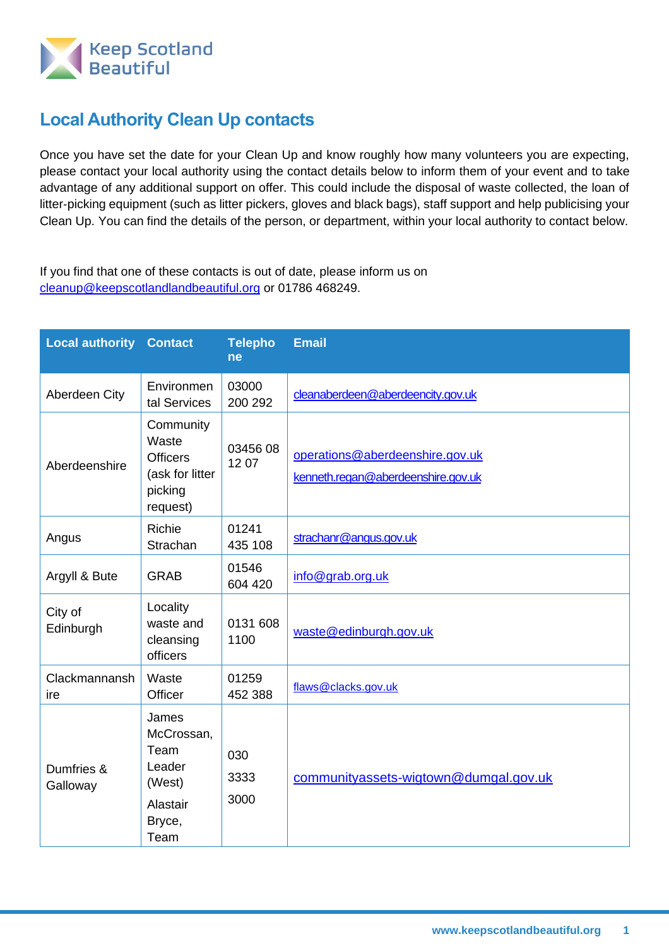

## **Local Authority Clean Up contacts**

Once you have set the date for your Clean Up and know roughly how many volunteers you are expecting, please contact your local authority using the contact details below to inform them of your event and to take advantage of any additional support on offer. This could include the disposal of waste collected, the loan of litter-picking equipment (such as litter pickers, gloves and black bags), staff support and help publicising your Clean Up. You can find the details of the person, or department, within your local authority to contact below.

If you find that one of these contacts is out of date, please inform us on [cleanup@keepscotlandlandbeautiful.org](mailto:cleanup@keepscotlandlandbeautiful.org) or 01786 468249.

| <b>Local authority</b> | <b>Contact</b>                                                                  | <b>Telepho</b><br>ne | <b>Email</b>                                                          |
|------------------------|---------------------------------------------------------------------------------|----------------------|-----------------------------------------------------------------------|
| Aberdeen City          | Environmen<br>tal Services                                                      | 03000<br>200 292     | cleanaberdeen@aberdeencity.gov.uk                                     |
| Aberdeenshire          | Community<br>Waste<br><b>Officers</b><br>(ask for litter<br>picking<br>request) | 0345608<br>1207      | operations@aberdeenshire.gov.uk<br>kenneth.regan@aberdeenshire.gov.uk |
| Angus                  | Richie<br>Strachan                                                              | 01241<br>435 108     | strachanr@angus.gov.uk                                                |
| Argyll & Bute          | <b>GRAB</b>                                                                     | 01546<br>604 420     | info@grab.org.uk                                                      |
| City of<br>Edinburgh   | Locality<br>waste and<br>cleansing<br>officers                                  | 0131 608<br>1100     | waste@edinburgh.gov.uk                                                |
| Clackmannansh<br>ire   | Waste<br>Officer                                                                | 01259<br>452 388     | flaws@clacks.gov.uk                                                   |
| Dumfries &<br>Galloway | James<br>McCrossan,<br>Team<br>Leader<br>(West)<br>Alastair<br>Bryce,<br>Team   | 030<br>3333<br>3000  | communityassets-wigtown@dumgal.gov.uk                                 |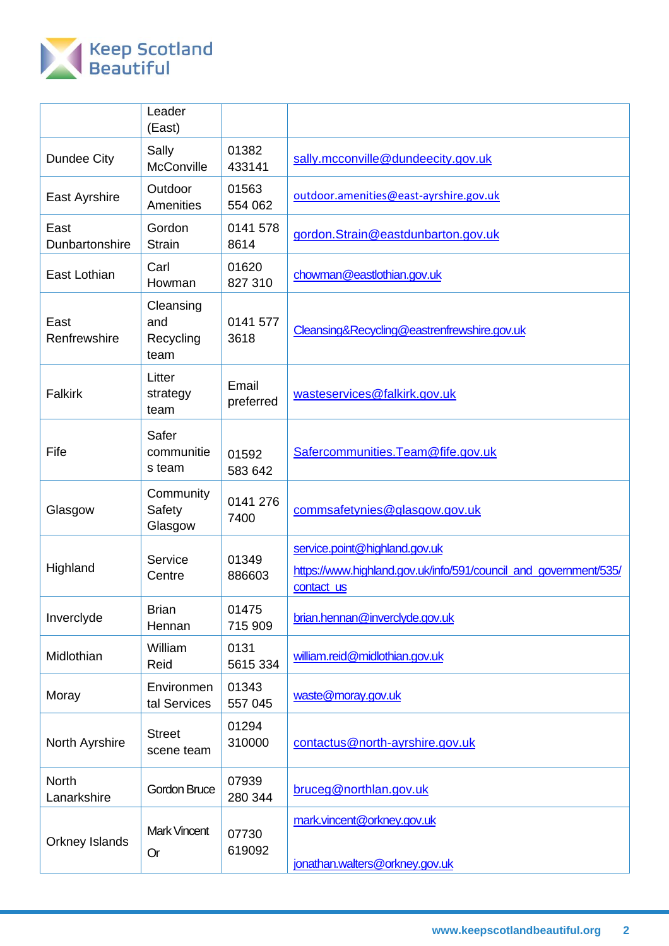

|                             | Leader<br>(East)                      |                    |                                                                                                                 |
|-----------------------------|---------------------------------------|--------------------|-----------------------------------------------------------------------------------------------------------------|
| Dundee City                 | Sally<br>McConville                   | 01382<br>433141    | sally.mcconville@dundeecity.gov.uk                                                                              |
| East Ayrshire               | Outdoor<br>Amenities                  | 01563<br>554 062   | outdoor.amenities@east-ayrshire.gov.uk                                                                          |
| East<br>Dunbartonshire      | Gordon<br><b>Strain</b>               | 0141 578<br>8614   | gordon.Strain@eastdunbarton.gov.uk                                                                              |
| East Lothian                | Carl<br>Howman                        | 01620<br>827 310   | chowman@eastlothian.gov.uk                                                                                      |
| East<br>Renfrewshire        | Cleansing<br>and<br>Recycling<br>team | 0141 577<br>3618   | Cleansing&Recycling@eastrenfrewshire.gov.uk                                                                     |
| <b>Falkirk</b>              | Litter<br>strategy<br>team            | Email<br>preferred | wasteservices@falkirk.gov.uk                                                                                    |
| Fife                        | Safer<br>communitie<br>s team         | 01592<br>583 642   | Safercommunities. Team@fife.gov.uk                                                                              |
| Glasgow                     | Community<br>Safety<br>Glasgow        | 0141 276<br>7400   | commsafetynies@glasgow.gov.uk                                                                                   |
| Highland                    | Service<br>Centre                     | 01349<br>886603    | service.point@highland.gov.uk<br>https://www.highland.gov.uk/info/591/council_and_government/535/<br>contact us |
| Inverclyde                  | <b>Brian</b><br>Hennan                | 01475<br>715 909   | brian.hennan@inverclyde.gov.uk                                                                                  |
| Midlothian                  | William<br>Reid                       | 0131<br>5615 334   | william.reid@midlothian.gov.uk                                                                                  |
| Moray                       | Environmen<br>tal Services            | 01343<br>557 045   | waste@moray.gov.uk                                                                                              |
| North Ayrshire              | <b>Street</b><br>scene team           | 01294<br>310000    | contactus@north-ayrshire.gov.uk                                                                                 |
| <b>North</b><br>Lanarkshire | Gordon Bruce                          | 07939<br>280 344   | bruceg@northlan.gov.uk                                                                                          |
| Orkney Islands              | <b>Mark Vincent</b><br><b>Or</b>      | 07730<br>619092    | mark.vincent@orkney.gov.uk<br>jonathan.walters@orkney.gov.uk                                                    |